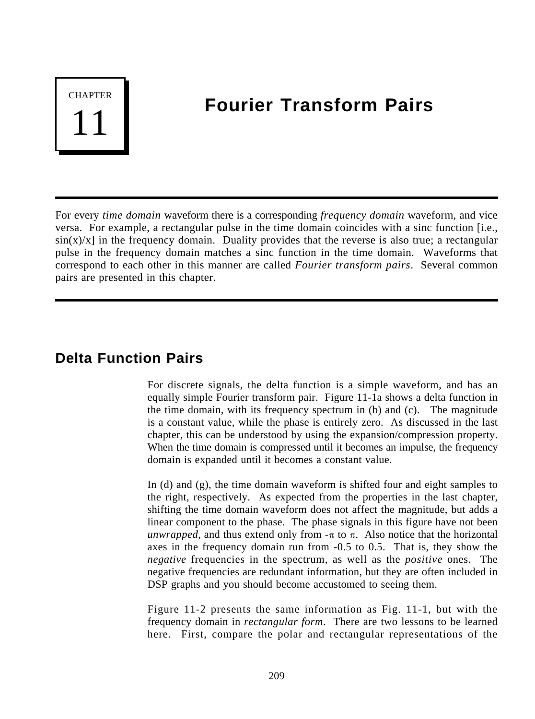# **CHAPTER**

# 11 **Fourier Transform Pairs**

For every *time domain* waveform there is a corresponding *frequency domain* waveform, and vice versa. For example, a rectangular pulse in the time domain coincides with a sinc function [i.e.,  $sin(x)/x$ ] in the frequency domain. Duality provides that the reverse is also true; a rectangular pulse in the frequency domain matches a sinc function in the time domain. Waveforms that correspond to each other in this manner are called *Fourier transform pairs*. Several common pairs are presented in this chapter.

# **Delta Function Pairs**

For discrete signals, the delta function is a simple waveform, and has an equally simple Fourier transform pair. Figure 11-1a shows a delta function in the time domain, with its frequency spectrum in (b) and (c). The magnitude is a constant value, while the phase is entirely zero. As discussed in the last chapter, this can be understood by using the expansion/compression property. When the time domain is compressed until it becomes an impulse, the frequency domain is expanded until it becomes a constant value.

In (d) and (g), the time domain waveform is shifted four and eight samples to the right, respectively. As expected from the properties in the last chapter, shifting the time domain waveform does not affect the magnitude, but adds a linear component to the phase. The phase signals in this figure have not been *unwrapped*, and thus extend only from  $-\pi$  to  $\pi$ . Also notice that the horizontal axes in the frequency domain run from -0.5 to 0.5. That is, they show the *negative* frequencies in the spectrum, as well as the *positive* ones. The negative frequencies are redundant information, but they are often included in DSP graphs and you should become accustomed to seeing them.

Figure 11-2 presents the same information as Fig. 11-1, but with the frequency domain in *rectangular form*. There are two lessons to be learned here. First, compare the polar and rectangular representations of the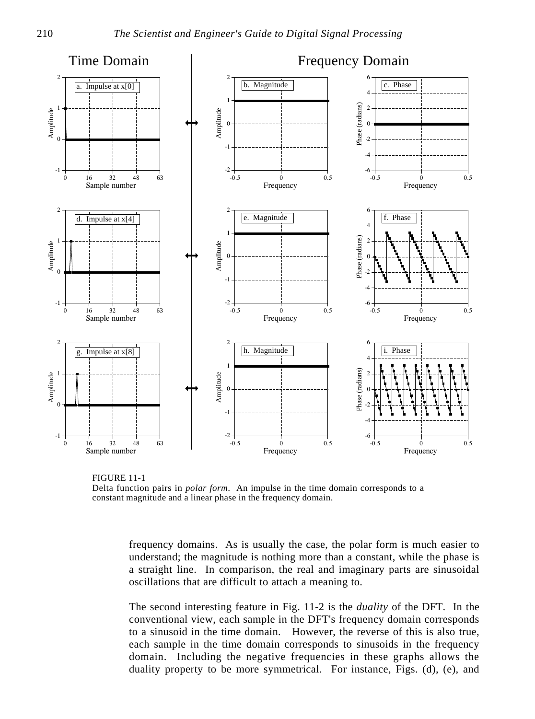

FIGURE 11-1 Delta function pairs in *polar form*. An impulse in the time domain corresponds to a constant magnitude and a linear phase in the frequency domain.

frequency domains. As is usually the case, the polar form is much easier to understand; the magnitude is nothing more than a constant, while the phase is a straight line. In comparison, the real and imaginary parts are sinusoidal oscillations that are difficult to attach a meaning to.

The second interesting feature in Fig. 11-2 is the *duality* of the DFT. In the conventional view, each sample in the DFT's frequency domain corresponds to a sinusoid in the time domain. However, the reverse of this is also true, each sample in the time domain corresponds to sinusoids in the frequency domain. Including the negative frequencies in these graphs allows the duality property to be more symmetrical. For instance, Figs. (d), (e), and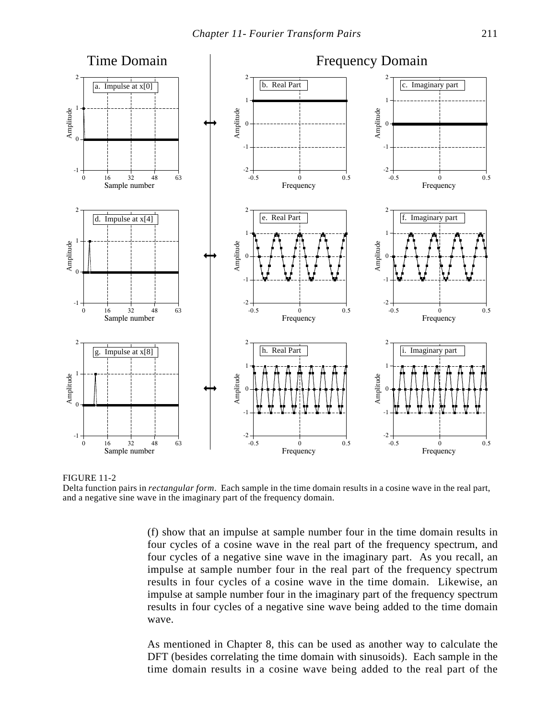



(f) show that an impulse at sample number four in the time domain results in four cycles of a cosine wave in the real part of the frequency spectrum, and four cycles of a negative sine wave in the imaginary part. As you recall, an impulse at sample number four in the real part of the frequency spectrum results in four cycles of a cosine wave in the time domain. Likewise, an impulse at sample number four in the imaginary part of the frequency spectrum results in four cycles of a negative sine wave being added to the time domain wave.

As mentioned in Chapter 8, this can be used as another way to calculate the DFT (besides correlating the time domain with sinusoids). Each sample in the time domain results in a cosine wave being added to the real part of the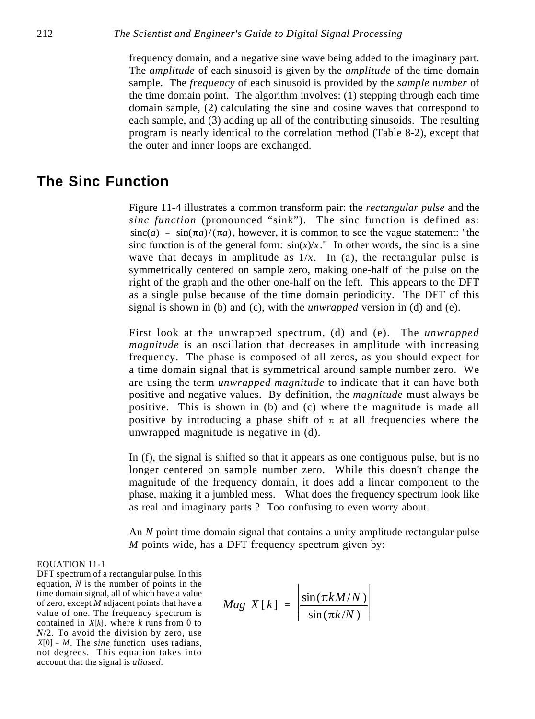frequency domain, and a negative sine wave being added to the imaginary part. The *amplitude* of each sinusoid is given by the *amplitude* of the time domain sample. The *frequency* of each sinusoid is provided by the *sample number* of the time domain point. The algorithm involves: (1) stepping through each time domain sample, (2) calculating the sine and cosine waves that correspond to each sample, and (3) adding up all of the contributing sinusoids. The resulting program is nearly identical to the correlation method (Table 8-2), except that the outer and inner loops are exchanged.

## **The Sinc Function**

Figure 11-4 illustrates a common transform pair: the *rectangular pulse* and the *sinc function* (pronounced "sink"). The sinc function is defined as:  $sinc(a) = sin(\pi a)/(\pi a)$ , however, it is common to see the vague statement: "the sinc function is of the general form:  $\sin(x)/x$ ." In other words, the sinc is a sine wave that decays in amplitude as  $1/x$ . In (a), the rectangular pulse is symmetrically centered on sample zero, making one-half of the pulse on the right of the graph and the other one-half on the left. This appears to the DFT as a single pulse because of the time domain periodicity. The DFT of this signal is shown in (b) and (c), with the *unwrapped* version in (d) and (e).

First look at the unwrapped spectrum, (d) and (e). The *unwrapped magnitude* is an oscillation that decreases in amplitude with increasing frequency. The phase is composed of all zeros, as you should expect for a time domain signal that is symmetrical around sample number zero. We are using the term *unwrapped magnitude* to indicate that it can have both positive and negative values. By definition, the *magnitude* must always be positive. This is shown in (b) and (c) where the magnitude is made all positive by introducing a phase shift of  $\pi$  at all frequencies where the unwrapped magnitude is negative in (d).

In (f), the signal is shifted so that it appears as one contiguous pulse, but is no longer centered on sample number zero. While this doesn't change the magnitude of the frequency domain, it does add a linear component to the phase, making it a jumbled mess. What does the frequency spectrum look like as real and imaginary parts ? Too confusing to even worry about.

An *N* point time domain signal that contains a unity amplitude rectangular pulse *M* points wide, has a DFT frequency spectrum given by:

### EQUATION 11-1

DFT spectrum of a rectangular pulse. In this equation, *N* is the number of points in the time domain signal, all of which have a value of zero, except *M* adjacent points that have a value of one. The frequency spectrum is contained in *X*[*k*], where *k* runs from 0 to *N*/2. To avoid the division by zero, use  $X[0] = M$ . The *sine* function uses radians, not degrees. This equation takes into account that the signal is *aliased*.

$$
Mag X[k] = \left| \frac{\sin(\pi k M/N)}{\sin(\pi k/N)} \right|
$$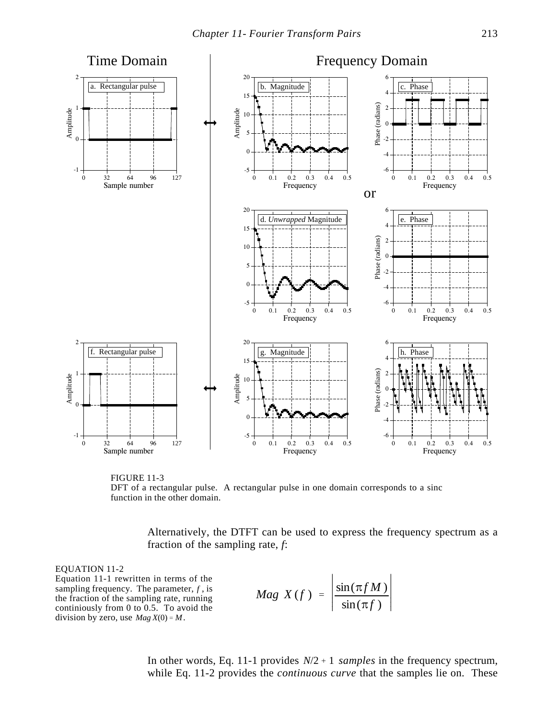



Alternatively, the DTFT can be used to express the frequency spectrum as a fraction of the sampling rate, *f*:

EQUATION 11-2 Equation 11-1 rewritten in terms of the sampling frequency. The parameter, *f* , is the fraction of the sampling rate, running continiously from 0 to 0.5. To avoid the division by zero, use  $Mag X(0) = M$ .

$$
Mag X(f) = \left| \frac{\sin(\pi f M)}{\sin(\pi f)} \right|
$$

In other words, Eq. 11-1 provides  $N/2 + 1$  *samples* in the frequency spectrum, while Eq. 11-2 provides the *continuous curve* that the samples lie on. These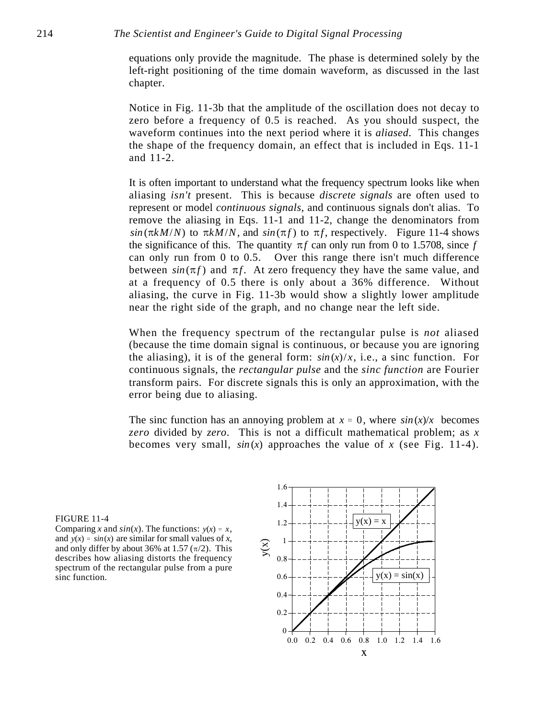equations only provide the magnitude. The phase is determined solely by the left-right positioning of the time domain waveform, as discussed in the last chapter.

Notice in Fig. 11-3b that the amplitude of the oscillation does not decay to zero before a frequency of 0.5 is reached. As you should suspect, the waveform continues into the next period where it is *aliased*. This changes the shape of the frequency domain, an effect that is included in Eqs. 11-1 and 11-2.

It is often important to understand what the frequency spectrum looks like when aliasing *isn't* present. This is because *discrete signals* are often used to represent or model *continuous signals*, and continuous signals don't alias. To remove the aliasing in Eqs. 11-1 and 11-2, change the denominators from  $sin(\pi k/M/N)$  to  $\pi k/M/N$ , and  $sin(\pi f)$  to  $\pi f$ , respectively. Figure 11-4 shows the significance of this. The quantity  $\pi f$  can only run from 0 to 1.5708, since *f* can only run from 0 to 0.5. Over this range there isn't much difference between  $sin(\pi f)$  and  $\pi f$ . At zero frequency they have the same value, and at a frequency of 0.5 there is only about a 36% difference. Without aliasing, the curve in Fig. 11-3b would show a slightly lower amplitude near the right side of the graph, and no change near the left side.

When the frequency spectrum of the rectangular pulse is *not* aliased (because the time domain signal is continuous, or because you are ignoring the aliasing), it is of the general form:  $sin(x)/x$ , i.e., a sinc function. For continuous signals, the *rectangular pulse* and the *sinc function* are Fourier transform pairs. For discrete signals this is only an approximation, with the error being due to aliasing.

The sinc function has an annoying problem at  $x = 0$ , where  $sin(x)/x$  becomes *zero* divided by *zero*. This is not a difficult mathematical problem; as *x* becomes very small,  $sin(x)$  approaches the value of x (see Fig. 11-4).

### FIGURE 11-4

Comparing *x* and *sin*(*x*). The functions:  $y(x) = x$ , and  $y(x) = sin(x)$  are similar for small values of *x*, and only differ by about 36% at 1.57  $(\pi/2)$ . This describes how aliasing distorts the frequency spectrum of the rectangular pulse from a pure sinc function.

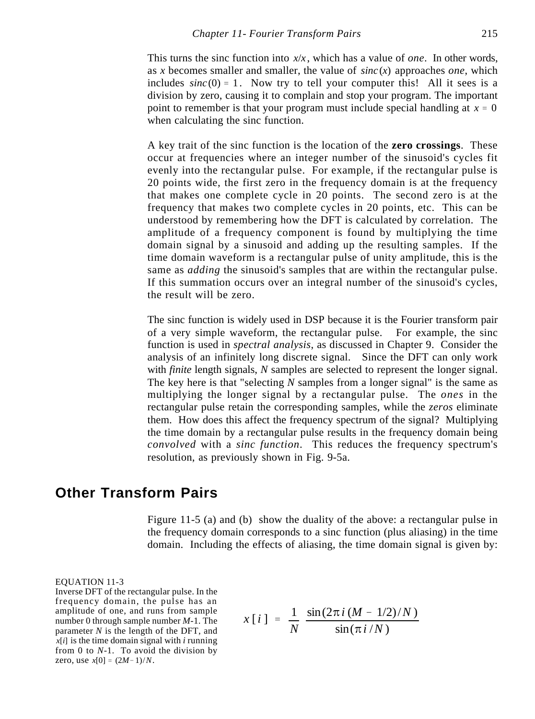This turns the sinc function into *x*/*x* , which has a value of *one*. In other words, as *x* becomes smaller and smaller, the value of  $sinc(x)$  approaches *one*, which includes  $sinc(0) = 1$ . Now try to tell your computer this! All it sees is a division by zero, causing it to complain and stop your program. The important point to remember is that your program must include special handling at  $x = 0$ when calculating the sinc function.

A key trait of the sinc function is the location of the **zero crossings**. These occur at frequencies where an integer number of the sinusoid's cycles fit evenly into the rectangular pulse. For example, if the rectangular pulse is 20 points wide, the first zero in the frequency domain is at the frequency that makes one complete cycle in 20 points. The second zero is at the frequency that makes two complete cycles in 20 points, etc. This can be understood by remembering how the DFT is calculated by correlation. The amplitude of a frequency component is found by multiplying the time domain signal by a sinusoid and adding up the resulting samples. If the time domain waveform is a rectangular pulse of unity amplitude, this is the same as *adding* the sinusoid's samples that are within the rectangular pulse. If this summation occurs over an integral number of the sinusoid's cycles, the result will be zero.

The sinc function is widely used in DSP because it is the Fourier transform pair of a very simple waveform, the rectangular pulse. For example, the sinc function is used in *spectral analysis*, as discussed in Chapter 9. Consider the analysis of an infinitely long discrete signal. Since the DFT can only work with *finite* length signals, *N* samples are selected to represent the longer signal. The key here is that "selecting *N* samples from a longer signal" is the same as multiplying the longer signal by a rectangular pulse. The *ones* in the rectangular pulse retain the corresponding samples, while the *zeros* eliminate them. How does this affect the frequency spectrum of the signal? Multiplying the time domain by a rectangular pulse results in the frequency domain being *convolved* with a *sinc function*. This reduces the frequency spectrum's resolution, as previously shown in Fig. 9-5a.

### **Other Transform Pairs**

Figure 11-5 (a) and (b) show the duality of the above: a rectangular pulse in the frequency domain corresponds to a sinc function (plus aliasing) in the time domain. Including the effects of aliasing, the time domain signal is given by:

### EQUATION 11-3

Inverse DFT of the rectangular pulse. In the frequency domain, the pulse has an amplitude of one, and runs from sample number 0 through sample number *M*-1. The parameter *N* is the length of the DFT, and *x*[*i*] is the time domain signal with *i* running from 0 to *N*-1. To avoid the division by zero, use  $x[0] = (2M-1)/N$ .

$$
x[i] = \frac{1}{N} \frac{\sin(2\pi i (M - 1/2)/N)}{\sin(\pi i / N)}
$$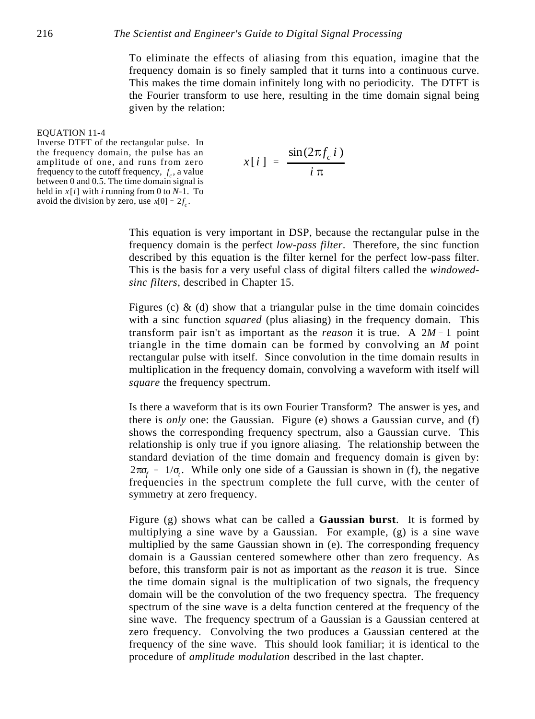To eliminate the effects of aliasing from this equation, imagine that the frequency domain is so finely sampled that it turns into a continuous curve. This makes the time domain infinitely long with no periodicity. The DTFT is the Fourier transform to use here, resulting in the time domain signal being given by the relation:

### EQUATION 11-4

Inverse DTFT of the rectangular pulse. In the frequency domain, the pulse has an amplitude of one, and runs from zero frequency to the cutoff frequency,  $f_c$ , a value between 0 and 0.5. The time domain signal is held in  $x[i]$  with *i* running from 0 to *N*-1. To avoid the division by zero, use  $x[0] = 2f_c$ .

$$
x[i] = \frac{\sin(2\pi f_c i)}{i \pi}
$$

This equation is very important in DSP, because the rectangular pulse in the frequency domain is the perfect *low-pass filter*. Therefore, the sinc function described by this equation is the filter kernel for the perfect low-pass filter. This is the basis for a very useful class of digital filters called the *windowedsinc filters*, described in Chapter 15.

Figures (c)  $\&$  (d) show that a triangular pulse in the time domain coincides with a sinc function *squared* (plus aliasing) in the frequency domain. This transform pair isn't as important as the *reason* it is true. A  $2M - 1$  point triangle in the time domain can be formed by convolving an *M* point rectangular pulse with itself. Since convolution in the time domain results in multiplication in the frequency domain, convolving a waveform with itself will *square* the frequency spectrum.

Is there a waveform that is its own Fourier Transform? The answer is yes, and there is *only* one: the Gaussian. Figure (e) shows a Gaussian curve, and (f) shows the corresponding frequency spectrum, also a Gaussian curve. This relationship is only true if you ignore aliasing. The relationship between the standard deviation of the time domain and frequency domain is given by:  $2\pi\sigma_f = 1/\sigma_f$ . While only one side of a Gaussian is shown in (f), the negative frequencies in the spectrum complete the full curve, with the center of symmetry at zero frequency.

Figure (g) shows what can be called a **Gaussian burst**. It is formed by multiplying a sine wave by a Gaussian. For example, (g) is a sine wave multiplied by the same Gaussian shown in (e). The corresponding frequency domain is a Gaussian centered somewhere other than zero frequency. As before, this transform pair is not as important as the *reason* it is true. Since the time domain signal is the multiplication of two signals, the frequency domain will be the convolution of the two frequency spectra. The frequency spectrum of the sine wave is a delta function centered at the frequency of the sine wave. The frequency spectrum of a Gaussian is a Gaussian centered at zero frequency. Convolving the two produces a Gaussian centered at the frequency of the sine wave. This should look familiar; it is identical to the procedure of *amplitude modulation* described in the last chapter.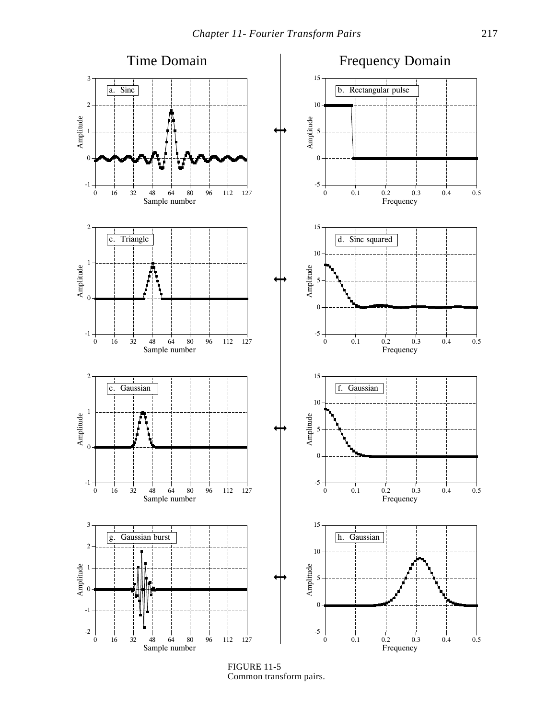

FIGURE 11-5 Common transform pairs.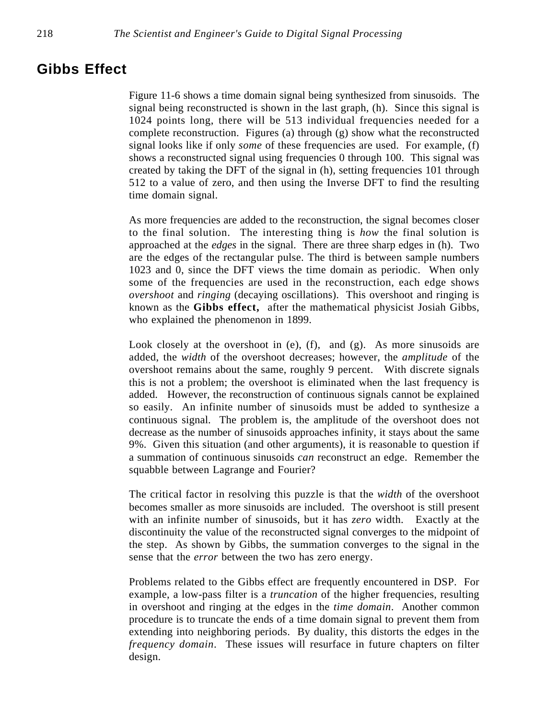### **Gibbs Effect**

Figure 11-6 shows a time domain signal being synthesized from sinusoids. The signal being reconstructed is shown in the last graph, (h). Since this signal is 1024 points long, there will be 513 individual frequencies needed for a complete reconstruction. Figures (a) through (g) show what the reconstructed signal looks like if only *some* of these frequencies are used. For example, (f) shows a reconstructed signal using frequencies 0 through 100. This signal was created by taking the DFT of the signal in (h), setting frequencies 101 through 512 to a value of zero, and then using the Inverse DFT to find the resulting time domain signal.

As more frequencies are added to the reconstruction, the signal becomes closer to the final solution. The interesting thing is *how* the final solution is approached at the *edges* in the signal. There are three sharp edges in (h). Two are the edges of the rectangular pulse. The third is between sample numbers 1023 and 0, since the DFT views the time domain as periodic. When only some of the frequencies are used in the reconstruction, each edge shows *overshoot* and *ringing* (decaying oscillations). This overshoot and ringing is known as the **Gibbs effect,** after the mathematical physicist Josiah Gibbs, who explained the phenomenon in 1899.

Look closely at the overshoot in (e), (f), and (g). As more sinusoids are added, the *width* of the overshoot decreases; however, the *amplitude* of the overshoot remains about the same, roughly 9 percent. With discrete signals this is not a problem; the overshoot is eliminated when the last frequency is added. However, the reconstruction of continuous signals cannot be explained so easily. An infinite number of sinusoids must be added to synthesize a continuous signal. The problem is, the amplitude of the overshoot does not decrease as the number of sinusoids approaches infinity, it stays about the same 9%. Given this situation (and other arguments), it is reasonable to question if a summation of continuous sinusoids *can* reconstruct an edge. Remember the squabble between Lagrange and Fourier?

The critical factor in resolving this puzzle is that the *width* of the overshoot becomes smaller as more sinusoids are included. The overshoot is still present with an infinite number of sinusoids, but it has *zero* width. Exactly at the discontinuity the value of the reconstructed signal converges to the midpoint of the step. As shown by Gibbs, the summation converges to the signal in the sense that the *error* between the two has zero energy.

Problems related to the Gibbs effect are frequently encountered in DSP. For example, a low-pass filter is a *truncation* of the higher frequencies, resulting in overshoot and ringing at the edges in the *time domain*. Another common procedure is to truncate the ends of a time domain signal to prevent them from extending into neighboring periods. By duality, this distorts the edges in the *frequency domain*. These issues will resurface in future chapters on filter design.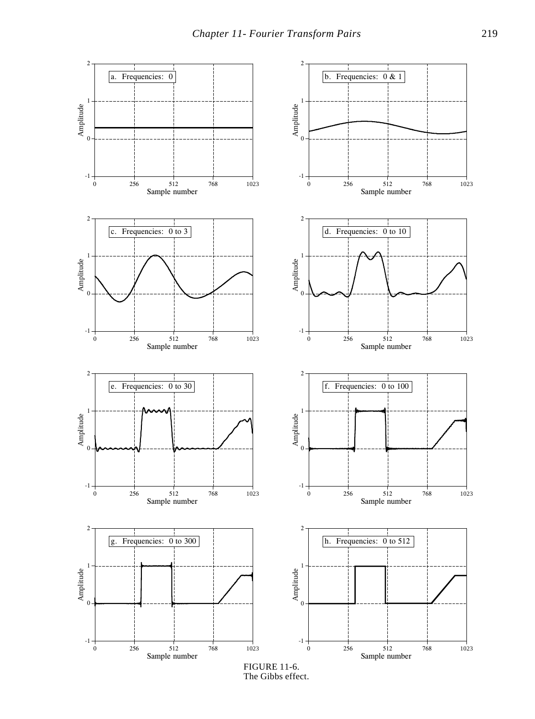

The Gibbs effect.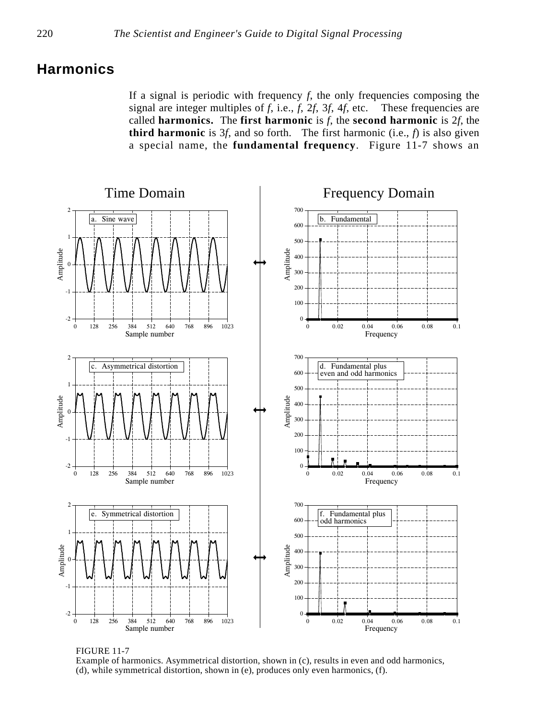# **Harmonics**

If a signal is periodic with frequency  $f$ , the only frequencies composing the signal are integer multiples of  $f$ , i.e.,  $f$ ,  $2f$ ,  $3f$ ,  $4f$ , etc. These frequencies are called **harmonics.** The **first harmonic** is  $f$ , the **second harmonic** is  $2f$ , the **third harmonic** is  $3f$ , and so forth. The first harmonic (i.e.,  $f$ ) is also given a special name, the **fundamental frequency**. Figure 11-7 shows an



FIGURE 11-7 Example of harmonics. Asymmetrical distortion, shown in (c), results in even and odd harmonics, (d), while symmetrical distortion, shown in (e), produces only even harmonics, (f).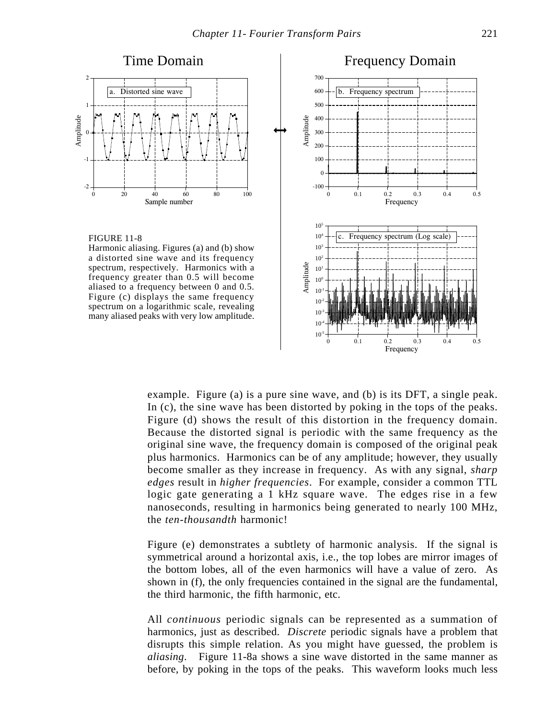



Harmonic aliasing. Figures (a) and (b) show a distorted sine wave and its frequency spectrum, respectively. Harmonics with a frequency greater than 0.5 will become aliased to a frequency between 0 and 0.5. Figure (c) displays the same frequency spectrum on a logarithmic scale, revealing many aliased peaks with very low amplitude.



example. Figure (a) is a pure sine wave, and (b) is its DFT, a single peak. In (c), the sine wave has been distorted by poking in the tops of the peaks. Figure (d) shows the result of this distortion in the frequency domain. Because the distorted signal is periodic with the same frequency as the original sine wave, the frequency domain is composed of the original peak plus harmonics. Harmonics can be of any amplitude; however, they usually become smaller as they increase in frequency. As with any signal, *sharp edges* result in *higher frequencies*. For example, consider a common TTL logic gate generating a 1 kHz square wave. The edges rise in a few nanoseconds, resulting in harmonics being generated to nearly 100 MHz, the *ten-thousandth* harmonic!

Figure (e) demonstrates a subtlety of harmonic analysis. If the signal is symmetrical around a horizontal axis, i.e., the top lobes are mirror images of the bottom lobes, all of the even harmonics will have a value of zero. As shown in (f), the only frequencies contained in the signal are the fundamental, the third harmonic, the fifth harmonic, etc.

All *continuous* periodic signals can be represented as a summation of harmonics, just as described. *Discrete* periodic signals have a problem that disrupts this simple relation. As you might have guessed, the problem is *aliasing*. Figure 11-8a shows a sine wave distorted in the same manner as before, by poking in the tops of the peaks. This waveform looks much less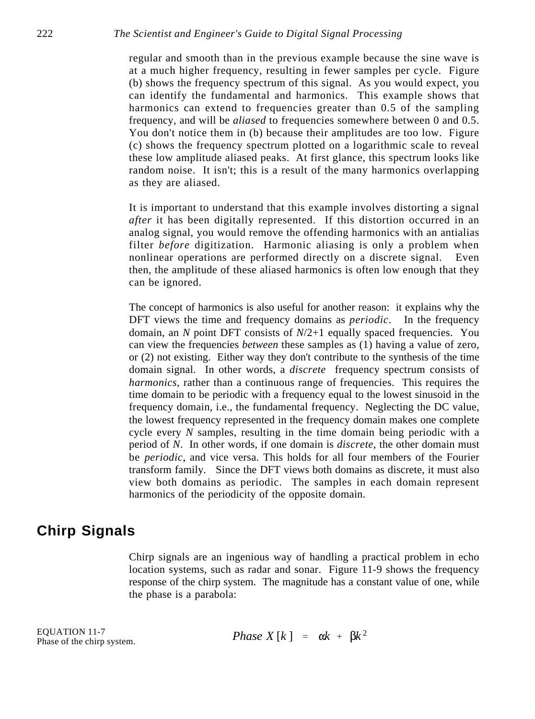regular and smooth than in the previous example because the sine wave is at a much higher frequency, resulting in fewer samples per cycle. Figure (b) shows the frequency spectrum of this signal. As you would expect, you can identify the fundamental and harmonics. This example shows that harmonics can extend to frequencies greater than 0.5 of the sampling frequency, and will be *aliased* to frequencies somewhere between 0 and 0.5. You don't notice them in (b) because their amplitudes are too low. Figure (c) shows the frequency spectrum plotted on a logarithmic scale to reveal these low amplitude aliased peaks. At first glance, this spectrum looks like random noise. It isn't; this is a result of the many harmonics overlapping as they are aliased.

It is important to understand that this example involves distorting a signal *after* it has been digitally represented. If this distortion occurred in an analog signal, you would remove the offending harmonics with an antialias filter *before* digitization. Harmonic aliasing is only a problem when nonlinear operations are performed directly on a discrete signal. Even then, the amplitude of these aliased harmonics is often low enough that they can be ignored.

The concept of harmonics is also useful for another reason: it explains why the DFT views the time and frequency domains as *periodic*. In the frequency domain, an *N* point DFT consists of *N*/2+1 equally spaced frequencies. You can view the frequencies *between* these samples as (1) having a value of zero, or (2) not existing. Either way they don't contribute to the synthesis of the time domain signal. In other words, a *discrete* frequency spectrum consists of *harmonics*, rather than a continuous range of frequencies. This requires the time domain to be periodic with a frequency equal to the lowest sinusoid in the frequency domain, i.e., the fundamental frequency. Neglecting the DC value, the lowest frequency represented in the frequency domain makes one complete cycle every *N* samples, resulting in the time domain being periodic with a period of *N*. In other words, if one domain is *discrete*, the other domain must be *periodic*, and vice versa. This holds for all four members of the Fourier transform family. Since the DFT views both domains as discrete, it must also view both domains as periodic. The samples in each domain represent harmonics of the periodicity of the opposite domain.

# **Chirp Signals**

Chirp signals are an ingenious way of handling a practical problem in echo location systems, such as radar and sonar. Figure 11-9 shows the frequency response of the chirp system. The magnitude has a constant value of one, while the phase is a parabola:

EQUATION 11-7<br>Phase of the chirp system. **Phase** of the chirp system. *Phase*  $X[k] = \alpha k + \beta k^2$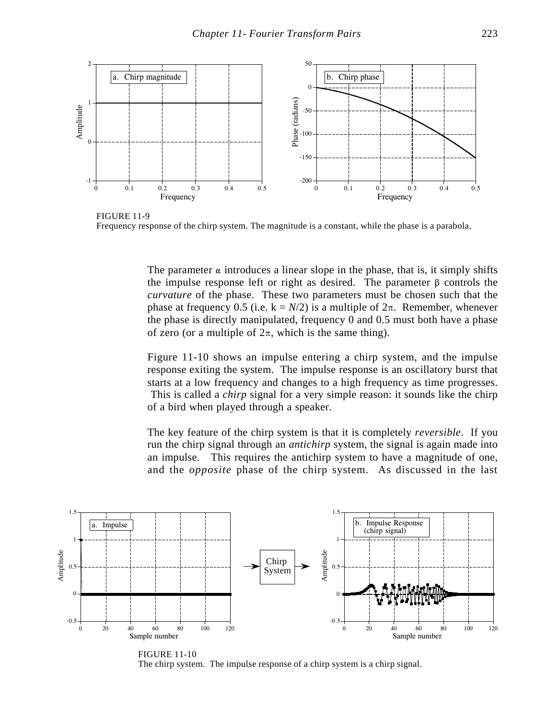



The parameter  $\alpha$  introduces a linear slope in the phase, that is, it simply shifts the impulse response left or right as desired. The parameter  $\beta$  controls the *curvature* of the phase. These two parameters must be chosen such that the phase at frequency 0.5 (i.e.  $k = N/2$ ) is a multiple of  $2\pi$ . Remember, whenever the phase is directly manipulated, frequency 0 and 0.5 must both have a phase of zero (or a multiple of  $2\pi$ , which is the same thing).

Figure 11-10 shows an impulse entering a chirp system, and the impulse response exiting the system. The impulse response is an oscillatory burst that starts at a low frequency and changes to a high frequency as time progresses. This is called a *chirp* signal for a very simple reason: it sounds like the chirp of a bird when played through a speaker.

The key feature of the chirp system is that it is completely *reversible*. If you run the chirp signal through an *antichirp* system, the signal is again made into an impulse. This requires the antichirp system to have a magnitude of one, and the *opposite* phase of the chirp system. As discussed in the last



FIGURE 11-10 The chirp system. The impulse response of a chirp system is a chirp signal.